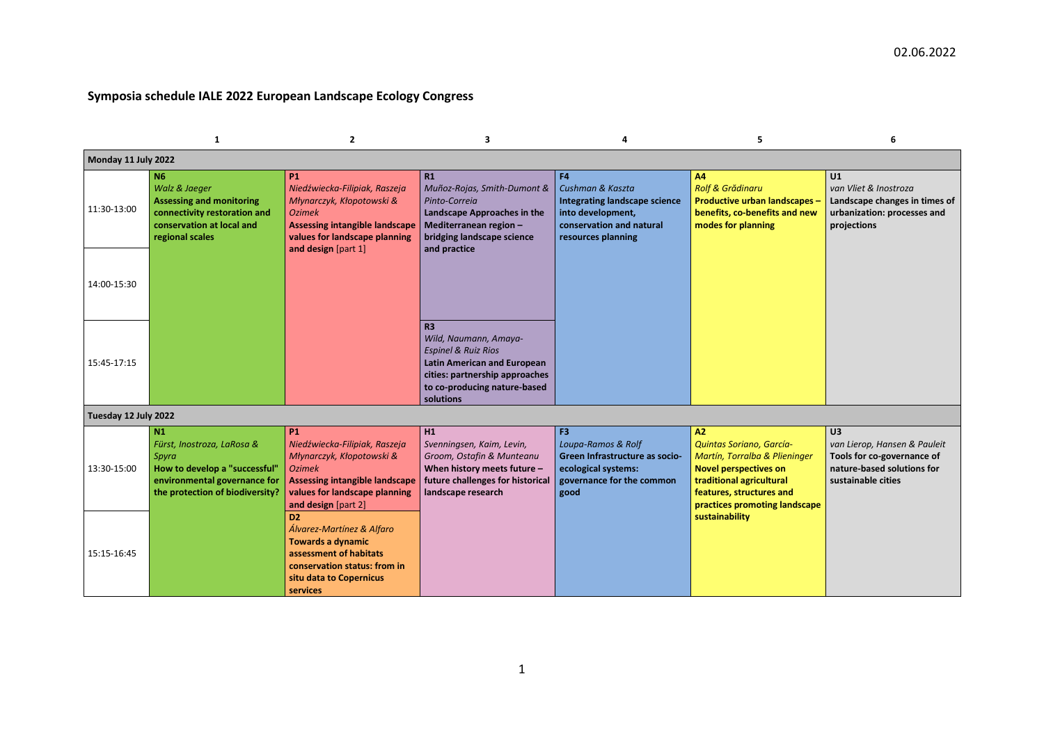## **Symposia schedule IALE 2022 European Landscape Ecology Congress**

|                      | $\mathbf{1}$                                                                                                                                       | $\overline{2}$                                                                                                                                                                            | 3                                                                                                                                                                                  | 4                                                                                                                                     | 5                                                                                                                                                                                               | 6                                                                                                                    |  |  |  |  |
|----------------------|----------------------------------------------------------------------------------------------------------------------------------------------------|-------------------------------------------------------------------------------------------------------------------------------------------------------------------------------------------|------------------------------------------------------------------------------------------------------------------------------------------------------------------------------------|---------------------------------------------------------------------------------------------------------------------------------------|-------------------------------------------------------------------------------------------------------------------------------------------------------------------------------------------------|----------------------------------------------------------------------------------------------------------------------|--|--|--|--|
| Monday 11 July 2022  |                                                                                                                                                    |                                                                                                                                                                                           |                                                                                                                                                                                    |                                                                                                                                       |                                                                                                                                                                                                 |                                                                                                                      |  |  |  |  |
| 11:30-13:00          | N <sub>6</sub><br>Walz & Jaeger<br><b>Assessing and monitoring</b><br>connectivity restoration and<br>conservation at local and<br>regional scales | <b>P1</b><br>Niedźwiecka-Filipiak, Raszeja<br>Młynarczyk, Kłopotowski &<br><b>Ozimek</b><br>Assessing intangible landscape<br>values for landscape planning<br>and design [part 1]        | R1<br>Muñoz-Rojas, Smith-Dumont &<br>Pinto-Correia<br>Landscape Approaches in the<br>Mediterranean region -<br>bridging landscape science<br>and practice                          | <b>F4</b><br>Cushman & Kaszta<br>Integrating landscape science<br>into development,<br>conservation and natural<br>resources planning | <b>A4</b><br><b>Rolf &amp; Grădinaru</b><br><b>Productive urban landscapes -</b><br>benefits, co-benefits and new<br>modes for planning                                                         | U1<br>van Vliet & Inostroza<br>Landscape changes in times of<br>urbanization: processes and<br>projections           |  |  |  |  |
| 14:00-15:30          |                                                                                                                                                    |                                                                                                                                                                                           |                                                                                                                                                                                    |                                                                                                                                       |                                                                                                                                                                                                 |                                                                                                                      |  |  |  |  |
| 15:45-17:15          |                                                                                                                                                    |                                                                                                                                                                                           | R3<br>Wild, Naumann, Amaya-<br><b>Espinel &amp; Ruiz Rios</b><br><b>Latin American and European</b><br>cities: partnership approaches<br>to co-producing nature-based<br>solutions |                                                                                                                                       |                                                                                                                                                                                                 |                                                                                                                      |  |  |  |  |
| Tuesday 12 July 2022 |                                                                                                                                                    |                                                                                                                                                                                           |                                                                                                                                                                                    |                                                                                                                                       |                                                                                                                                                                                                 |                                                                                                                      |  |  |  |  |
| 13:30-15:00          | N1<br>Fürst, Inostroza, LaRosa &<br>Spyra<br>How to develop a "successful"<br>environmental governance for<br>the protection of biodiversity?      | <b>P1</b><br>Niedźwiecka-Filipiak, Raszeja<br>Młynarczyk, Kłopotowski &<br><b>Ozimek</b><br><b>Assessing intangible landscape</b><br>values for landscape planning<br>and design [part 2] | H1<br>Svenningsen, Kaim, Levin,<br>Groom, Ostafin & Munteanu<br>When history meets future -<br>future challenges for historical<br>landscape research                              | F3<br>Loupa-Ramos & Rolf<br>Green Infrastructure as socio-<br>ecological systems:<br>governance for the common<br>good                | A2<br><b>Quintas Soriano, García-</b><br>Martín, Torralba & Plieninger<br><b>Novel perspectives on</b><br>traditional agricultural<br>features, structures and<br>practices promoting landscape | U3<br>van Lierop, Hansen & Pauleit<br>Tools for co-governance of<br>nature-based solutions for<br>sustainable cities |  |  |  |  |
| 15:15-16:45          |                                                                                                                                                    | D <sub>2</sub><br>Álvarez-Martínez & Alfaro<br><b>Towards a dynamic</b><br>assessment of habitats<br>conservation status: from in<br>situ data to Copernicus<br>services                  |                                                                                                                                                                                    |                                                                                                                                       | sustainability                                                                                                                                                                                  |                                                                                                                      |  |  |  |  |